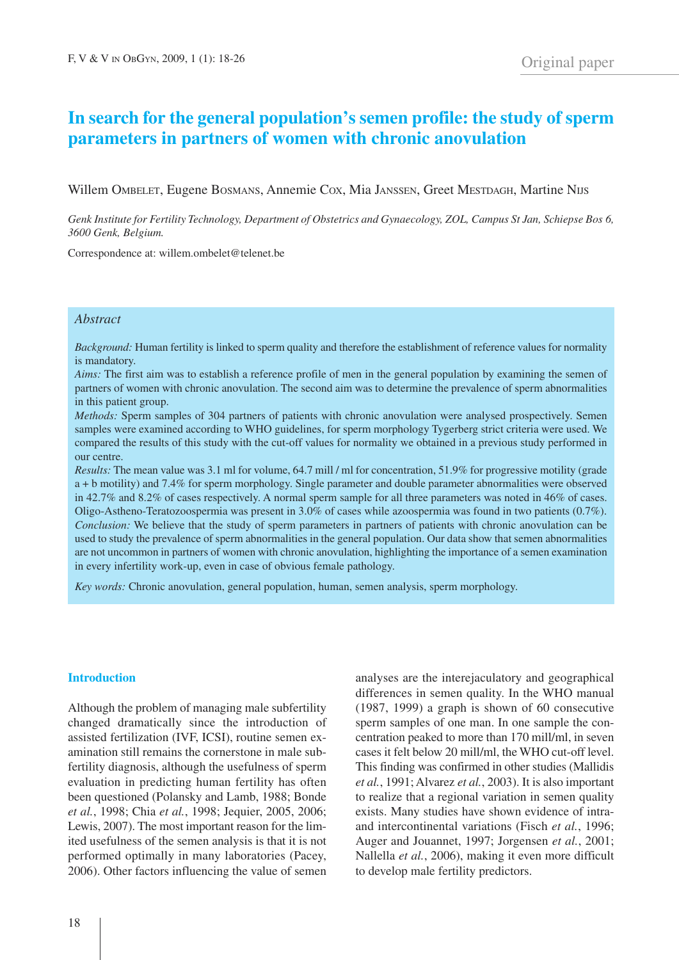# **In search for the general population's semen profile: the study of sperm parameters in partners of women with chronic anovulation**

Willem OMBELET, Eugene BOSMANS, Annemie COX, Mia JANSSEN, Greet MESTDAGH, Martine Nus

Genk Institute for Fertility Technology, Department of Obstetrics and Gynaecology, ZOL, Campus St Jan, Schiepse Bos 6, *3600 Genk, Belgium.*

Correspondence at: willem.ombelet@telenet.be

# *Abstract*

*Background:* Human fertility is linked to sperm quality and therefore the establishment of reference values for normality is mandatory.

*Aims:* The first aim was to establish a reference profile of men in the general population by examining the semen of partners of women with chronic anovulation. The second aim was to determine the prevalence of sperm abnormalities in this patient group.

*Methods:* Sperm samples of 304 partners of patients with chronic anovulation were analysed prospectively. Semen samples were examined according to WHO guidelines, for sperm morphology Tygerberg strict criteria were used. We compared the results of this study with the cut-off values for normality we obtained in a previous study performed in our centre.

*Results:* The mean value was 3.1 ml for volume, 64.7 mill / ml for concentration, 51.9% for progressive motility (grade a + b motility) and 7.4% for sperm morphology. Single parameter and double parameter abnormalities were observed in 42.7% and 8.2% of cases respectively. A normal sperm sample for all three parameters was noted in 46% of cases. Oligo-Astheno-Teratozoospermia was present in 3.0% of cases while azoospermia was found in two patients (0.7%). *Conclusion:* We believe that the study of sperm parameters in partners of patients with chronic anovulation can be used to study the prevalence of sperm abnormalities in the general population. Our data show that semen abnormalities are not uncommon in partners of women with chronic anovulation, highlighting the importance of a semen examination in every infertility work-up, even in case of obvious female pathology.

*Key words:* Chronic anovulation, general population, human, semen analysis, sperm morphology.

## **Introduction**

Although the problem of managing male subfertility changed dramatically since the introduction of assisted fertilization (IVF, ICSI), routine semen examination still remains the cornerstone in male subfertility diagnosis, although the usefulness of sperm evaluation in predicting human fertility has often been questioned (Polansky and Lamb, 1988; Bonde *et al.*, 1998; Chia *et al.*, 1998; Jequier, 2005, 2006; Lewis, 2007). The most important reason for the limited usefulness of the semen analysis is that it is not performed optimally in many laboratories (Pacey, 2006). Other factors influencing the value of semen analyses are the interejaculatory and geographical differences in semen quality. In the WHO manual (1987, 1999) a graph is shown of 60 consecutive sperm samples of one man. In one sample the concentration peaked to more than 170 mill/ml, in seven cases it felt below 20 mill/ml, the WHO cut-off level. This finding was confirmed in other studies (Mallidis *et al.*, 1991; Alvarez *et al.*, 2003). It is also important to realize that a regional variation in semen quality exists. Many studies have shown evidence of intraand intercontinental variations (Fisch *et al.*, 1996; Auger and Jouannet, 1997; Jorgensen *et al.*, 2001; Nallella *et al.*, 2006), making it even more difficult to develop male fertility predictors.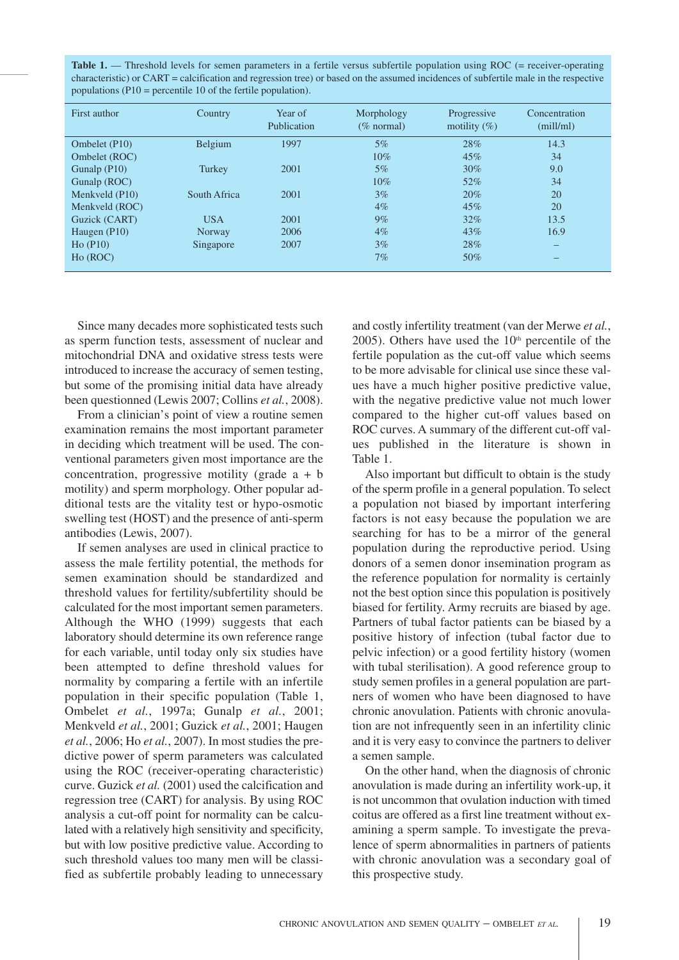**Table 1.** — Threshold levels for semen parameters in a fertile versus subfertile population using ROC (= receiver-operating characteristic) or CART = calcification and regression tree) or based on the assumed incidences of subfertile male in the respective populations (P10 = percentile 10 of the fertile population).

| First author   | Country      | Year of<br>Publication | Morphology<br>$(\%$ normal) | Progressive<br>motility $(\%)$ | Concentration<br>(mill/ml) |
|----------------|--------------|------------------------|-----------------------------|--------------------------------|----------------------------|
| Ombelet (P10)  | Belgium      | 1997                   | $5\%$                       | 28%                            | 14.3                       |
| Ombelet (ROC)  |              |                        | 10%                         | 45%                            | 34                         |
| Gunalp $(P10)$ | Turkey       | 2001                   | $5\%$                       | $30\%$                         | 9.0                        |
| Gunalp (ROC)   |              |                        | $10\%$                      | 52%                            | 34                         |
| Menkveld (P10) | South Africa | 2001                   | $3\%$                       | 20%                            | 20                         |
| Menkveld (ROC) |              |                        | $4\%$                       | 45%                            | 20                         |
| Guzick (CART)  | <b>USA</b>   | 2001                   | $9\%$                       | $32\%$                         | 13.5                       |
| Haugen $(P10)$ | Norway       | 2006                   | $4\%$                       | 43%                            | 16.9                       |
| Ho (P10)       | Singapore    | 2007                   | $3\%$                       | 28%                            |                            |
| Ho (ROC)       |              |                        | 7%                          | 50%                            |                            |

Since many decades more sophisticated tests such as sperm function tests, assessment of nuclear and mitochondrial DNA and oxidative stress tests were introduced to increase the accuracy of semen testing, but some of the promising initial data have already been questionned (Lewis 2007; Collins *et al.*, 2008).

From a clinician's point of view a routine semen examination remains the most important parameter in deciding which treatment will be used. The conventional parameters given most importance are the concentration, progressive motility (grade  $a + b$ motility) and sperm morphology. Other popular additional tests are the vitality test or hypo-osmotic swelling test (HOST) and the presence of anti-sperm antibodies (Lewis, 2007).

If semen analyses are used in clinical practice to assess the male fertility potential, the methods for semen examination should be standardized and threshold values for fertility/subfertility should be calculated for the most important semen parameters. Although the WHO (1999) suggests that each laboratory should determine its own reference range for each variable, until today only six studies have been attempted to define threshold values for normality by comparing a fertile with an infertile population in their specific population (Table 1, Ombelet *et al.*, 1997a; Gunalp *et al.*, 2001; Menkveld *et al.*, 2001; Guzick *et al.*, 2001; Haugen *et al.*, 2006; Ho *et al.*, 2007). In most studies the predictive power of sperm parameters was calculated using the ROC (receiver-operating characteristic) curve. Guzick *et al.* (2001) used the calcification and regression tree (CART) for analysis. By using ROC analysis a cut-off point for normality can be calculated with a relatively high sensitivity and specificity, but with low positive predictive value. According to such threshold values too many men will be classified as subfertile probably leading to unnecessary

and costly infertility treatment (van der Merwe *et al.*, 2005). Others have used the  $10<sup>th</sup>$  percentile of the fertile population as the cut-off value which seems to be more advisable for clinical use since these values have a much higher positive predictive value, with the negative predictive value not much lower compared to the higher cut-off values based on ROC curves. A summary of the different cut-off values published in the literature is shown in Table 1.

Also important but difficult to obtain is the study of the sperm profile in a general population. To select a population not biased by important interfering factors is not easy because the population we are searching for has to be a mirror of the general population during the reproductive period. Using donors of a semen donor insemination program as the reference population for normality is certainly not the best option since this population is positively biased for fertility. Army recruits are biased by age. Partners of tubal factor patients can be biased by a positive history of infection (tubal factor due to pelvic infection) or a good fertility history (women with tubal sterilisation). A good reference group to study semen profiles in a general population are partners of women who have been diagnosed to have chronic anovulation. Patients with chronic anovulation are not infrequently seen in an infertility clinic and it is very easy to convince the partners to deliver a semen sample.

On the other hand, when the diagnosis of chronic anovulation is made during an infertility work-up, it is not uncommon that ovulation induction with timed coitus are offered as a first line treatment without examining a sperm sample. To investigate the prevalence of sperm abnormalities in partners of patients with chronic anovulation was a secondary goal of this prospective study.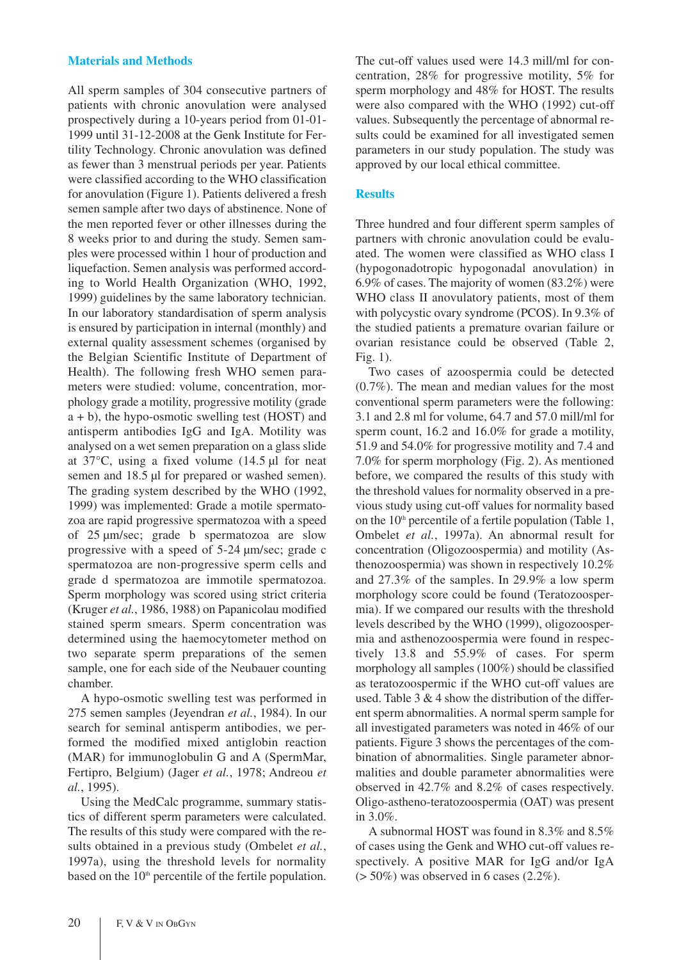# **Materials and Methods**

All sperm samples of 304 consecutive partners of patients with chronic anovulation were analysed prospectively during a 10-years period from 01-01- 1999 until 31-12-2008 at the Genk Institute for Fertility Technology. Chronic anovulation was defined as fewer than 3 menstrual periods per year. Patients were classified according to the WHO classification for anovulation (Figure 1). Patients delivered a fresh semen sample after two days of abstinence. None of the men reported fever or other illnesses during the 8 weeks prior to and during the study. Semen samples were processed within 1 hour of production and liquefaction. Semen analysis was performed according to World Health Organization (WHO, 1992, 1999) guidelines by the same laboratory technician. In our laboratory standardisation of sperm analysis is ensured by participation in internal (monthly) and external quality assessment schemes (organised by the Belgian Scientific Institute of Department of Health). The following fresh WHO semen parameters were studied: volume, concentration, morphology grade a motility, progressive motility (grade a + b), the hypo-osmotic swelling test (HOST) and antisperm antibodies IgG and IgA. Motility was analysed on a wet semen preparation on a glass slide at  $37^{\circ}$ C, using a fixed volume (14.5 µl for neat semen and 18.5 µl for prepared or washed semen). The grading system described by the WHO (1992, 1999) was implemented: Grade a motile spermatozoa are rapid progressive spermatozoa with a speed of 25 µm/sec; grade b spermatozoa are slow progressive with a speed of 5-24 µm/sec; grade c spermatozoa are non-progressive sperm cells and grade d spermatozoa are immotile spermatozoa. Sperm morphology was scored using strict criteria (Kruger *et al.*, 1986, 1988) on Papanicolau modified stained sperm smears. Sperm concentration was determined using the haemocytometer method on two separate sperm preparations of the semen sample, one for each side of the Neubauer counting chamber.

A hypo-osmotic swelling test was performed in 275 semen samples (Jeyendran *et al.*, 1984). In our search for seminal antisperm antibodies, we performed the modified mixed antiglobin reaction (MAR) for immunoglobulin G and A (SpermMar, Fertipro, Belgium) (Jager *et al.*, 1978; Andreou *et al.*, 1995).

Using the MedCalc programme, summary statistics of different sperm parameters were calculated. The results of this study were compared with the results obtained in a previous study (Ombelet *et al.*, 1997a), using the threshold levels for normality based on the  $10<sup>th</sup>$  percentile of the fertile population.

The cut-off values used were 14.3 mill/ml for concentration, 28% for progressive motility, 5% for sperm morphology and 48% for HOST. The results were also compared with the WHO (1992) cut-off values. Subsequently the percentage of abnormal results could be examined for all investigated semen parameters in our study population. The study was approved by our local ethical committee.

# **Results**

Three hundred and four different sperm samples of partners with chronic anovulation could be evaluated. The women were classified as WHO class I (hypogonadotropic hypogonadal anovulation) in 6.9% of cases. The majority of women (83.2%) were WHO class II anovulatory patients, most of them with polycystic ovary syndrome (PCOS). In 9.3% of the studied patients a premature ovarian failure or ovarian resistance could be observed (Table 2, Fig. 1).

Two cases of azoospermia could be detected (0.7%). The mean and median values for the most conventional sperm parameters were the following: 3.1 and 2.8 ml for volume, 64.7 and 57.0 mill/ml for sperm count, 16.2 and 16.0% for grade a motility, 51.9 and 54.0% for progressive motility and 7.4 and 7.0% for sperm morphology (Fig. 2). As mentioned before, we compared the results of this study with the threshold values for normality observed in a previous study using cut-off values for normality based on the  $10<sup>th</sup>$  percentile of a fertile population (Table 1, Ombelet *et al.*, 1997a). An abnormal result for concentration (Oligozoospermia) and motility (Asthenozoospermia) was shown in respectively 10.2% and 27.3% of the samples. In 29.9% a low sperm morphology score could be found (Teratozoospermia). If we compared our results with the threshold levels described by the WHO (1999), oligozoospermia and asthenozoospermia were found in respectively 13.8 and 55.9% of cases. For sperm morphology all samples (100%) should be classified as teratozoospermic if the WHO cut-off values are used. Table  $3 \& 4$  show the distribution of the different sperm abnormalities. A normal sperm sample for all investigated parameters was noted in 46% of our patients. Figure 3 shows the percentages of the combination of abnormalities. Single parameter abnormalities and double parameter abnormalities were observed in 42.7% and 8.2% of cases respectively. Oligo-astheno-teratozoospermia (OAT) was present in 3.0%.

A subnormal HOST was found in 8.3% and 8.5% of cases using the Genk and WHO cut-off values respectively. A positive MAR for IgG and/or IgA  $($  > 50%) was observed in 6 cases  $(2.2\%)$ .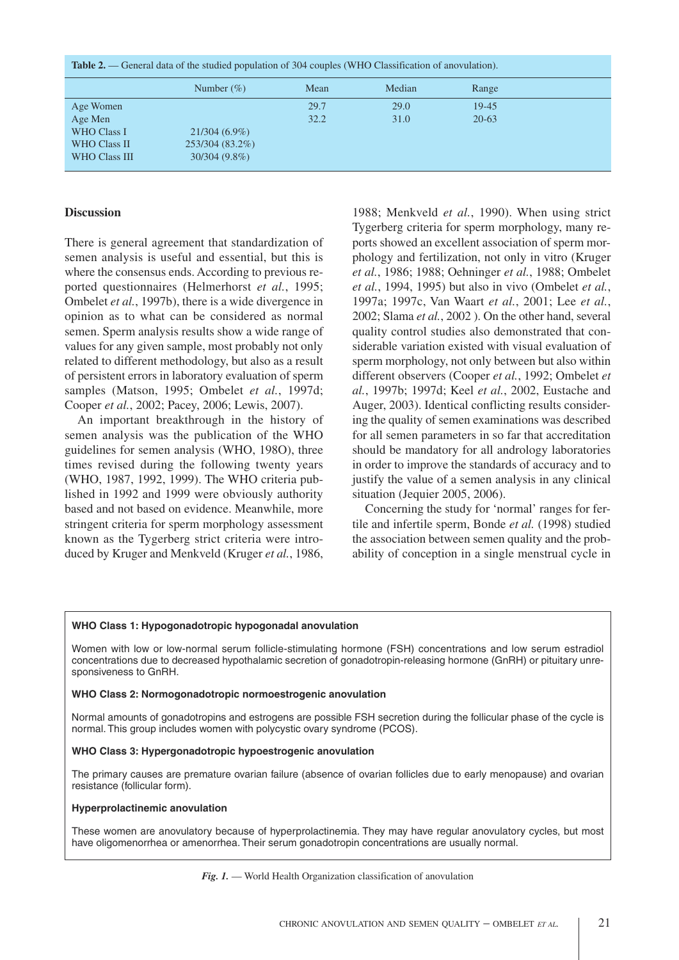| <b>Table 2.</b> — General data of the studied population of 304 couples (WHO Classification of anovulation). |                 |      |        |           |  |
|--------------------------------------------------------------------------------------------------------------|-----------------|------|--------|-----------|--|
|                                                                                                              | Number $(\%)$   | Mean | Median | Range     |  |
| Age Women                                                                                                    |                 | 29.7 | 29.0   | 19-45     |  |
| Age Men                                                                                                      |                 | 32.2 | 31.0   | $20 - 63$ |  |
| <b>WHO Class I</b>                                                                                           | $21/304(6.9\%)$ |      |        |           |  |
| <b>WHO Class II</b>                                                                                          | 253/304 (83.2%) |      |        |           |  |
| WHO Class III                                                                                                | $30/304(9.8\%)$ |      |        |           |  |

# **Discussion**

There is general agreement that standardization of semen analysis is useful and essential, but this is where the consensus ends. According to previous reported questionnaires (Helmerhorst *et al.*, 1995; Ombelet *et al.*, 1997b), there is a wide divergence in opinion as to what can be considered as normal semen. Sperm analysis results show a wide range of values for any given sample, most probably not only related to different methodology, but also as a result of persistent errors in laboratory evaluation of sperm samples (Matson, 1995; Ombelet *et al.*, 1997d; Cooper *et al.*, 2002; Pacey, 2006; Lewis, 2007).

An important breakthrough in the history of semen analysis was the publication of the WHO guidelines for semen analysis (WHO, 198O), three times revised during the following twenty years (WHO, 1987, 1992, 1999). The WHO criteria published in 1992 and 1999 were obviously authority based and not based on evidence. Meanwhile, more stringent criteria for sperm morphology assessment known as the Tygerberg strict criteria were introduced by Kruger and Menkveld (Kruger *et al.*, 1986,

1988; Menkveld *et al.*, 1990). When using strict Tygerberg criteria for sperm morphology, many reports showed an excellent association of sperm morphology and fertilization, not only in vitro (Kruger *et al.*, 1986; 1988; Oehninger *et al.*, 1988; Ombelet *et al.*, 1994, 1995) but also in vivo (Ombelet *et al.*, 1997a; 1997c, Van Waart *et al.*, 2001; Lee *et al.*, 2002; Slama *et al.*, 2002 ). On the other hand, several quality control studies also demonstrated that considerable variation existed with visual evaluation of sperm morphology, not only between but also within different observers (Cooper *et al.*, 1992; Ombelet *et al.*, 1997b; 1997d; Keel *et al.*, 2002, Eustache and Auger, 2003). Identical conflicting results considering the quality of semen examinations was described for all semen parameters in so far that accreditation should be mandatory for all andrology laboratories in order to improve the standards of accuracy and to justify the value of a semen analysis in any clinical situation (Jequier 2005, 2006).

Concerning the study for 'normal' ranges for fertile and infertile sperm, Bonde *et al.* (1998) studied the association between semen quality and the probability of conception in a single menstrual cycle in

#### **WHO Class 1: Hypogonadotropic hypogonadal anovulation**

Women with low or low-normal serum follicle-stimulating hormone (FSH) concentrations and low serum estradiol concentrations due to decreased hypothalamic secretion of gonadotropin-releasing hormone (GnRH) or pituitary unresponsiveness to GnRH.

#### **WHO Class 2: Normogonadotropic normoestrogenic anovulation**

Normal amounts of gonadotropins and estrogens are possible FSH secretion during the follicular phase of the cycle is normal. This group includes women with polycystic ovary syndrome (PCOS).

#### **WHO Class 3: Hypergonadotropic hypoestrogenic anovulation**

The primary causes are premature ovarian failure (absence of ovarian follicles due to early menopause) and ovarian resistance (follicular form).

#### **Hyperprolactinemic anovulation**

These women are anovulatory because of hyperprolactinemia. They may have regular anovulatory cycles, but most have oligomenorrhea or amenorrhea. Their serum gonadotropin concentrations are usually normal.

### *Fig. 1.* — World Health Organization classification of anovulation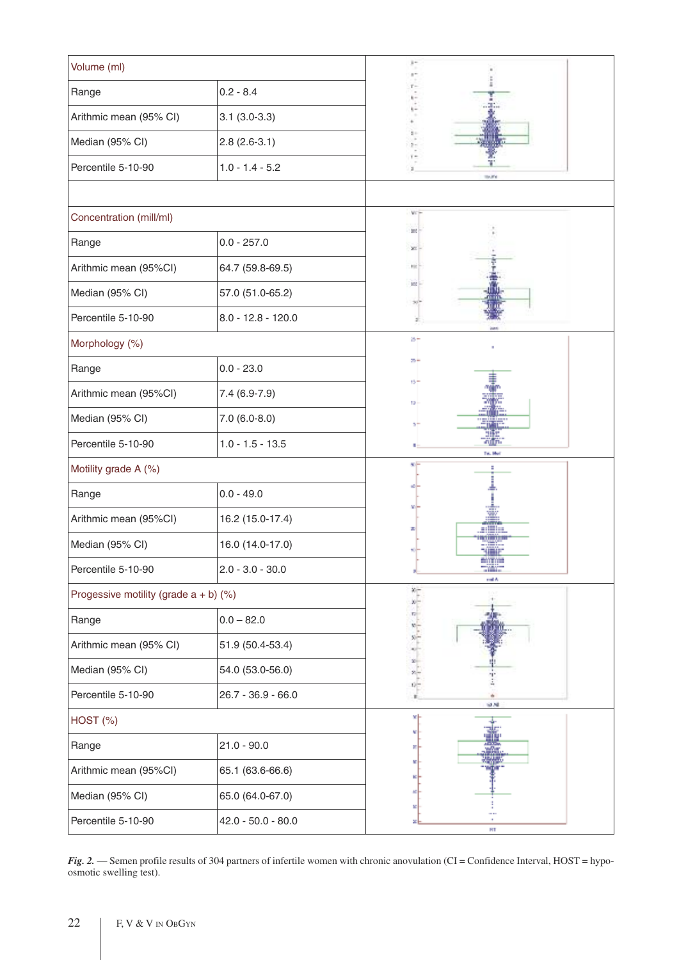| Volume (ml)                                |                      | $\frac{1}{2}$                |  |
|--------------------------------------------|----------------------|------------------------------|--|
| Range                                      | $0.2 - 8.4$          |                              |  |
| Arithmic mean (95% CI)                     | $3.1(3.0-3.3)$       |                              |  |
| Median (95% CI)                            | $2.8(2.6-3.1)$       |                              |  |
| Percentile 5-10-90                         | $1.0 - 1.4 - 5.2$    | ä.<br>to and                 |  |
|                                            |                      |                              |  |
| Concentration (mill/ml)                    |                      | VCF                          |  |
| Range                                      | $0.0 - 257.0$        | 200<br>×                     |  |
| Arithmic mean (95%CI)                      | 64.7 (59.8-69.5)     | FIE)                         |  |
| Median (95% CI)                            | 57.0 (51.0-65.2)     | <b>SOC</b>                   |  |
| Percentile 5-10-90                         | $8.0 - 12.8 - 120.0$ |                              |  |
| Morphology (%)                             |                      | ø÷                           |  |
| Range                                      | $0.0 - 23.0$         | $25 +$                       |  |
| Arithmic mean (95%CI)                      | $7.4(6.9-7.9)$       | $15 -$<br>12 <sub>1</sub>    |  |
| Median (95% CI)                            | $7.0(6.0-8.0)$       |                              |  |
| Percentile 5-10-90                         | $1.0 - 1.5 - 13.5$   | Tel. Ms                      |  |
| Motility grade A (%)                       |                      |                              |  |
| $0.0 - 49.0$<br>Range                      |                      |                              |  |
| Arithmic mean (95%CI)                      | 16.2 (15.0-17.4)     | والتالية                     |  |
| Median (95% CI)                            | 16.0 (14.0-17.0)     |                              |  |
| Percentile 5-10-90                         | $2.0 - 3.0 - 30.0$   | emme<br><b>TIME</b><br>mat A |  |
| Progessive motility (grade $a + b$ ) (%)   |                      | x.                           |  |
| Range                                      | $0.0 - 82.0$         |                              |  |
| Arithmic mean (95% CI)                     | 51.9 (50.4-53.4)     | $-3.8 - 5.4$                 |  |
| Median (95% CI)                            | 54.0 (53.0-56.0)     | $rac{8}{1}$                  |  |
| Percentile 5-10-90                         | $26.7 - 36.9 - 66.0$ | 9.88                         |  |
| $HOST$ $%$                                 |                      |                              |  |
| Range                                      | $21.0 - 90.0$        |                              |  |
| Arithmic mean (95%CI)                      | 65.1 (63.6-66.6)     |                              |  |
| Median (95% CI)<br>65.0 (64.0-67.0)        |                      |                              |  |
| Percentile 5-10-90<br>$42.0 - 50.0 - 80.0$ |                      | HT                           |  |

*Fig.* 2. — Semen profile results of 304 partners of infertile women with chronic anovulation (CI = Confidence Interval, HOST = hypoosmotic swelling test).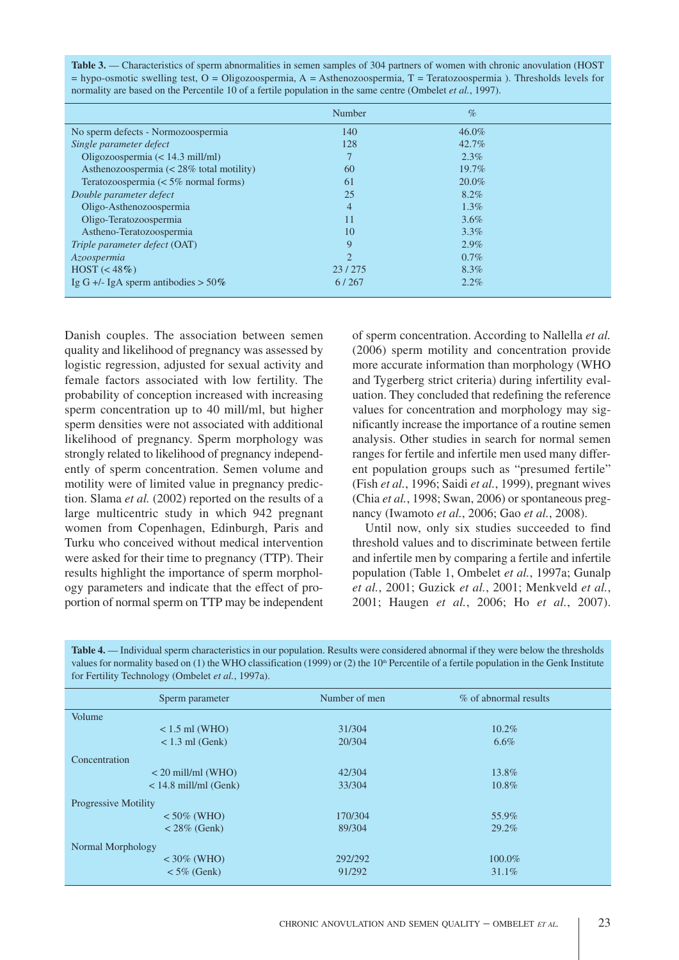| <b>Table 3.</b> — Characteristics of sperm abnormalities in semen samples of 304 partners of women with chronic anovulation (HOST) |
|------------------------------------------------------------------------------------------------------------------------------------|
| $=$ hypo-osmotic swelling test, O = Oligozoospermia, A = Asthenozoospermia, T = Teratozoospermia). Thresholds levels for           |
| normality are based on the Percentile 10 of a fertile population in the same centre (Ombelet <i>et al.</i> , 1997).                |

|                                                  | Number                      | $\%$     |  |
|--------------------------------------------------|-----------------------------|----------|--|
| No sperm defects - Normozoospermia               | 140                         | 46.0%    |  |
| Single parameter defect                          | 128                         | $42.7\%$ |  |
| Oligozoospermia (< 14.3 mill/ml)                 |                             | $2.3\%$  |  |
| Asthenozoospermia $\approx 28\%$ total motility) | 60                          | $19.7\%$ |  |
| Teratozoospermia ( $< 5\%$ normal forms)         | 61                          | 20.0%    |  |
| Double parameter defect                          | 25                          | $8.2\%$  |  |
| Oligo-Asthenozoospermia                          | 4                           | $1.3\%$  |  |
| Oligo-Teratozoospermia                           | 11                          | $3.6\%$  |  |
| Astheno-Teratozoospermia                         | 10                          | $3.3\%$  |  |
| Triple parameter defect (OAT)                    | 9                           | $2.9\%$  |  |
| Azoospermia                                      | $\mathcal{D}_{\mathcal{L}}$ | $0.7\%$  |  |
| $HOST \left( < 48\% \right)$                     | 23/275                      | 8.3%     |  |
| Ig G +/- IgA sperm antibodies $> 50\%$           | 6/267                       | $2.2\%$  |  |

Danish couples. The association between semen quality and likelihood of pregnancy was assessed by logistic regression, adjusted for sexual activity and female factors associated with low fertility. The probability of conception increased with increasing sperm concentration up to 40 mill/ml, but higher sperm densities were not associated with additional likelihood of pregnancy. Sperm morphology was strongly related to likelihood of pregnancy independently of sperm concentration. Semen volume and motility were of limited value in pregnancy prediction. Slama *et al.* (2002) reported on the results of a large multicentric study in which 942 pregnant women from Copenhagen, Edinburgh, Paris and Turku who conceived without medical intervention were asked for their time to pregnancy (TTP). Their results highlight the importance of sperm morphology parameters and indicate that the effect of proportion of normal sperm on TTP may be independent

of sperm concentration. According to Nallella *et al.* (2006) sperm motility and concentration provide more accurate information than morphology (WHO and Tygerberg strict criteria) during infertility evaluation. They concluded that redefining the reference values for concentration and morphology may significantly increase the importance of a routine semen analysis. Other studies in search for normal semen ranges for fertile and infertile men used many different population groups such as "presumed fertile" (Fish *et al.*, 1996; Saidi *et al.*, 1999), pregnant wives (Chia *et al.*, 1998; Swan, 2006) or spontaneous pregnancy (Iwamoto *et al.*, 2006; Gao *et al.*, 2008).

Until now, only six studies succeeded to find threshold values and to discriminate between fertile and infertile men by comparing a fertile and infertile population (Table 1, Ombelet *et al.*, 1997a; Gunalp *et al.*, 2001; Guzick *et al.*, 2001; Menkveld *et al.*, 2001; Haugen *et al.*, 2006; Ho *et al.*, 2007).

| <b>Table 4.</b> — Individual sperm characteristics in our population. Results were considered abnormal if they were below the thresholds   |
|--------------------------------------------------------------------------------------------------------------------------------------------|
| values for normality based on (1) the WHO classification (1999) or (2) the $10th$ Percentile of a fertile population in the Genk Institute |
| for Fertility Technology (Ombelet <i>et al.</i> , 1997a).                                                                                  |
|                                                                                                                                            |

| Number of men | % of abnormal results |
|---------------|-----------------------|
|               |                       |
| 31/304        | $10.2\%$              |
| 20/304        | $6.6\%$               |
|               |                       |
| 42/304        | 13.8%                 |
| 33/304        | 10.8%                 |
|               |                       |
| 170/304       | 55.9%                 |
| 89/304        | 29.2%                 |
|               |                       |
| 292/292       | 100.0%                |
| 91/292        | 31.1%                 |
|               |                       |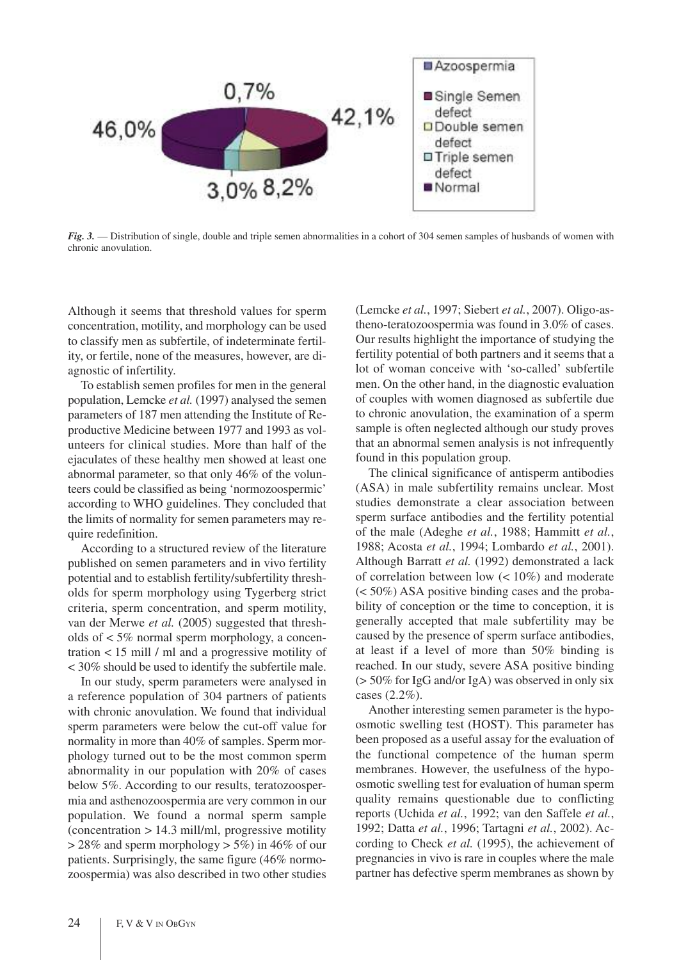

*Fig. 3.* — Distribution of single, double and triple semen abnormalities in a cohort of 304 semen samples of husbands of women with chronic anovulation.

Although it seems that threshold values for sperm concentration, motility, and morphology can be used to classify men as subfertile, of indeterminate fertility, or fertile, none of the measures, however, are diagnostic of infertility.

To establish semen profiles for men in the general population, Lemcke *et al.* (1997) analysed the semen parameters of 187 men attending the Institute of Reproductive Medicine between 1977 and 1993 as volunteers for clinical studies. More than half of the ejaculates of these healthy men showed at least one abnormal parameter, so that only 46% of the volunteers could be classified as being 'normozoospermic' according to WHO guidelines. They concluded that the limits of normality for semen parameters may require redefinition.

According to a structured review of the literature published on semen parameters and in vivo fertility potential and to establish fertility/subfertility thresholds for sperm morphology using Tygerberg strict criteria, sperm concentration, and sperm motility, van der Merwe *et al.* (2005) suggested that thresholds of < 5% normal sperm morphology, a concentration < 15 mill / ml and a progressive motility of < 30% should be used to identify the subfertile male.

In our study, sperm parameters were analysed in a reference population of 304 partners of patients with chronic anovulation. We found that individual sperm parameters were below the cut-off value for normality in more than 40% of samples. Sperm morphology turned out to be the most common sperm abnormality in our population with 20% of cases below 5%. According to our results, teratozoospermia and asthenozoospermia are very common in our population. We found a normal sperm sample  $(concentration > 14.3$  mill/ml, progressive motility  $> 28\%$  and sperm morphology  $> 5\%$ ) in 46% of our patients. Surprisingly, the same figure (46% normozoospermia) was also described in two other studies (Lemcke *et al.*, 1997; Siebert *et al.*, 2007). Oligo-astheno-teratozoospermia was found in 3.0% of cases. Our results highlight the importance of studying the fertility potential of both partners and it seems that a lot of woman conceive with 'so-called' subfertile men. On the other hand, in the diagnostic evaluation of couples with women diagnosed as subfertile due to chronic anovulation, the examination of a sperm sample is often neglected although our study proves that an abnormal semen analysis is not infrequently found in this population group.

The clinical significance of antisperm antibodies (ASA) in male subfertility remains unclear. Most studies demonstrate a clear association between sperm surface antibodies and the fertility potential of the male (Adeghe *et al.*, 1988; Hammitt *et al.*, 1988; Acosta *et al.*, 1994; Lombardo *et al.*, 2001). Although Barratt *et al.* (1992) demonstrated a lack of correlation between low (< 10%) and moderate (< 50%) ASA positive binding cases and the probability of conception or the time to conception, it is generally accepted that male subfertility may be caused by the presence of sperm surface antibodies, at least if a level of more than 50% binding is reached. In our study, severe ASA positive binding (> 50% for IgG and/or IgA) was observed in only six cases (2.2%).

Another interesting semen parameter is the hypoosmotic swelling test (HOST). This parameter has been proposed as a useful assay for the evaluation of the functional competence of the human sperm membranes. However, the usefulness of the hypoosmotic swelling test for evaluation of human sperm quality remains questionable due to conflicting reports (Uchida *et al.*, 1992; van den Saffele *et al.*, 1992; Datta *et al.*, 1996; Tartagni *et al.*, 2002). According to Check *et al.* (1995), the achievement of pregnancies in vivo is rare in couples where the male partner has defective sperm membranes as shown by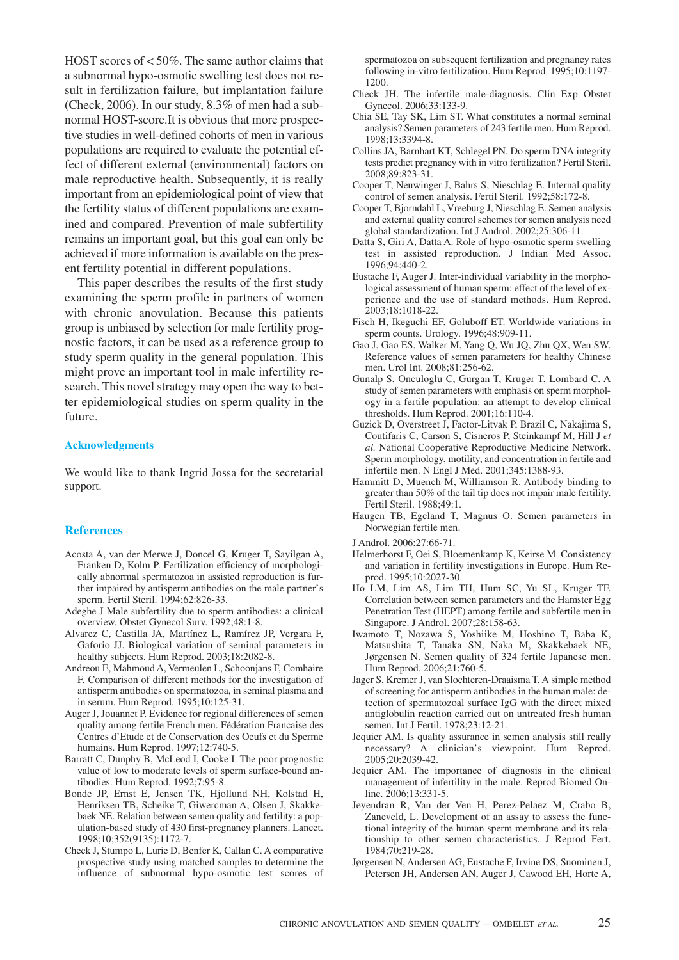HOST scores of < 50%. The same author claims that a subnormal hypo-osmotic swelling test does not result in fertilization failure, but implantation failure (Check, 2006). In our study, 8.3% of men had a subnormal HOST-score.It is obvious that more prospective studies in well-defined cohorts of men in various populations are required to evaluate the potential effect of different external (environmental) factors on male reproductive health. Subsequently, it is really important from an epidemiological point of view that the fertility status of different populations are examined and compared. Prevention of male subfertility remains an important goal, but this goal can only be achieved if more information is available on the present fertility potential in different populations.

This paper describes the results of the first study examining the sperm profile in partners of women with chronic anovulation. Because this patients group is unbiased by selection for male fertility prognostic factors, it can be used as a reference group to study sperm quality in the general population. This might prove an important tool in male infertility research. This novel strategy may open the way to better epidemiological studies on sperm quality in the future.

## **Acknowledgments**

We would like to thank Ingrid Jossa for the secretarial support.

## **References**

- Acosta A, van der Merwe J, Doncel G, Kruger T, Sayilgan A, Franken D, Kolm P. Fertilization efficiency of morphologically abnormal spermatozoa in assisted reproduction is further impaired by antisperm antibodies on the male partner's sperm. Fertil Steril. 1994;62:826-33.
- Adeghe J Male subfertility due to sperm antibodies: a clinical overview. Obstet Gynecol Surv. 1992;48:1-8.
- Alvarez C, Castilla JA, Martínez L, Ramírez JP, Vergara F, Gaforio JJ. Biological variation of seminal parameters in healthy subjects. Hum Reprod. 2003;18:2082-8.
- Andreou E, Mahmoud A, Vermeulen L, Schoonjans F, Comhaire F. Comparison of different methods for the investigation of antisperm antibodies on spermatozoa, in seminal plasma and in serum. Hum Reprod. 1995;10:125-31.
- Auger J, Jouannet P. Evidence for regional differences of semen quality among fertile French men. Fédération Francaise des Centres d'Etude et de Conservation des Oeufs et du Sperme humains. Hum Reprod. 1997;12:740-5.
- Barratt C, Dunphy B, McLeod I, Cooke I. The poor prognostic value of low to moderate levels of sperm surface-bound antibodies. Hum Reprod. 1992;7:95-8.
- Bonde JP, Ernst E, Jensen TK, Hjollund NH, Kolstad H, Henriksen TB, Scheike T, Giwercman A, Olsen J, Skakkebaek NE. Relation between semen quality and fertility: a population-based study of 430 first-pregnancy planners. Lancet. 1998;10;352(9135):1172-7.
- Check J, Stumpo L, Lurie D, Benfer K, Callan C. A comparative prospective study using matched samples to determine the influence of subnormal hypo-osmotic test scores of

spermatozoa on subsequent fertilization and pregnancy rates following in-vitro fertilization. Hum Reprod. 1995;10:1197- 1200.

- Check JH. The infertile male-diagnosis. Clin Exp Obstet Gynecol. 2006;33:133-9.
- Chia SE, Tay SK, Lim ST. What constitutes a normal seminal analysis? Semen parameters of 243 fertile men. Hum Reprod. 1998;13:3394-8.
- Collins JA, Barnhart KT, Schlegel PN. Do sperm DNA integrity tests predict pregnancy with in vitro fertilization? Fertil Steril. 2008;89:823-31.
- Cooper T, Neuwinger J, Bahrs S, Nieschlag E. Internal quality control of semen analysis. Fertil Steril. 1992;58:172-8.
- Cooper T, Bjorndahl L, Vreeburg J, Nieschlag E. Semen analysis and external quality control schemes for semen analysis need global standardization. Int J Androl. 2002;25:306-11.
- Datta S, Giri A, Datta A. Role of hypo-osmotic sperm swelling test in assisted reproduction. J Indian Med Assoc. 1996;94:440-2.
- Eustache F, Auger J. Inter-individual variability in the morphological assessment of human sperm: effect of the level of experience and the use of standard methods. Hum Reprod. 2003;18:1018-22.
- Fisch H, Ikeguchi EF, Goluboff ET. Worldwide variations in sperm counts. Urology. 1996;48:909-11.
- Gao J, Gao ES, Walker M, Yang Q, Wu JQ, Zhu QX, Wen SW. Reference values of semen parameters for healthy Chinese men. Urol Int. 2008;81:256-62.
- Gunalp S, Onculoglu C, Gurgan T, Kruger T, Lombard C. A study of semen parameters with emphasis on sperm morphology in a fertile population: an attempt to develop clinical thresholds. Hum Reprod. 2001;16:110-4.
- Guzick D, Overstreet J, Factor-Litvak P, Brazil C, Nakajima S, Coutifaris C, Carson S, Cisneros P, Steinkampf M, Hill J *et al.* National Cooperative Reproductive Medicine Network. Sperm morphology, motility, and concentration in fertile and infertile men. N Engl J Med. 2001;345:1388-93.
- Hammitt D, Muench M, Williamson R. Antibody binding to greater than 50% of the tail tip does not impair male fertility. Fertil Steril. 1988;49:1.
- Haugen TB, Egeland T, Magnus O. Semen parameters in Norwegian fertile men.
- J Androl. 2006;27:66-71.
- Helmerhorst F, Oei S, Bloemenkamp K, Keirse M. Consistency and variation in fertility investigations in Europe. Hum Reprod. 1995;10:2027-30.
- Ho LM, Lim AS, Lim TH, Hum SC, Yu SL, Kruger TF. Correlation between semen parameters and the Hamster Egg Penetration Test (HEPT) among fertile and subfertile men in Singapore. J Androl. 2007;28:158-63.
- Iwamoto T, Nozawa S, Yoshiike M, Hoshino T, Baba K, Matsushita T, Tanaka SN, Naka M, Skakkebaek NE, Jørgensen N. Semen quality of 324 fertile Japanese men. Hum Reprod. 2006;21:760-5.
- Jager S, Kremer J, van Slochteren-Draaisma T. A simple method of screening for antisperm antibodies in the human male: detection of spermatozoal surface IgG with the direct mixed antiglobulin reaction carried out on untreated fresh human semen. Int J Fertil. 1978;23:12-21.
- Jequier AM. Is quality assurance in semen analysis still really necessary? A clinician's viewpoint. Hum Reprod. 2005;20:2039-42.
- Jequier AM. The importance of diagnosis in the clinical management of infertility in the male. Reprod Biomed Online. 2006;13:331-5.
- Jeyendran R, Van der Ven H, Perez-Pelaez M, Crabo B, Zaneveld, L. Development of an assay to assess the functional integrity of the human sperm membrane and its relationship to other semen characteristics. J Reprod Fert. 1984;70:219-28.
- Jørgensen N, Andersen AG, Eustache F, Irvine DS, Suominen J, Petersen JH, Andersen AN, Auger J, Cawood EH, Horte A,